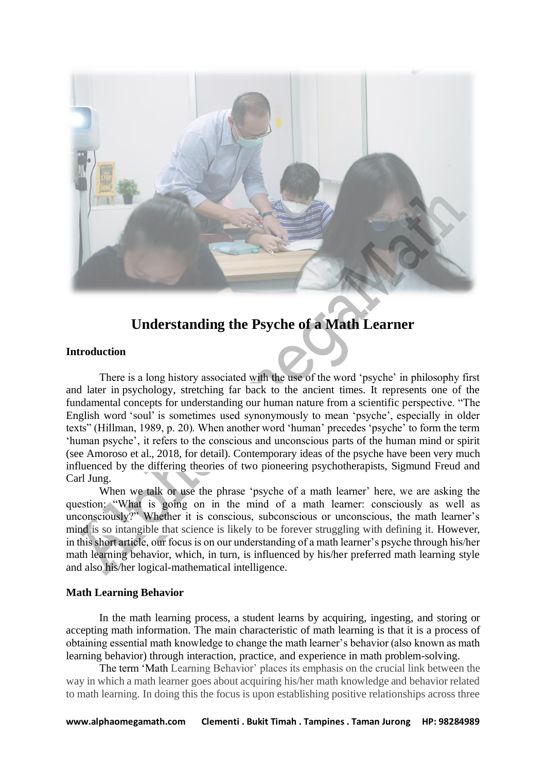

# **Understanding the Psyche of a Math Learner**

## **Introduction**

There is a long history associated with the use of the word 'psyche' in philosophy first and later in psychology, stretching far back to the ancient times. It represents one of the fundamental concepts for understanding our human nature from a scientific perspective. "The English word 'soul' is sometimes used synonymously to mean 'psyche', especially in older texts" (Hillman, 1989, p. 20). When another word 'human' precedes 'psyche' to form the term 'human psyche', it refers to the conscious and unconscious parts of the human mind or spirit (see Amoroso et al., 2018, for detail). Contemporary ideas of the psyche have been very much influenced by the differing theories of two pioneering psychotherapists, Sigmund Freud and Carl Jung.

When we talk or use the phrase 'psyche of a math learner' here, we are asking the question: "What is going on in the mind of a math learner: consciously as well as unconsciously?" Whether it is conscious, subconscious or unconscious, the math learner's mind is so intangible that science is likely to be forever struggling with defining it. However, in this short article, our focus is on our understanding of a math learner's psyche through his/her math learning behavior, which, in turn, is influenced by his/her preferred math learning style and also his/her logical-mathematical intelligence.

## **Math Learning Behavior**

In the math learning process, a student learns by acquiring, ingesting, and storing or accepting math information. The main characteristic of math learning is that it is a process of obtaining essential math knowledge to change the math learner's behavior (also known as math learning behavior) through interaction, practice, and experience in math problem-solving.

The term 'Math Learning Behavior' places its emphasis on the crucial link between the way in which a math learner goes about acquiring his/her math knowledge and behavior related to math learning. In doing this the focus is upon establishing positive relationships across three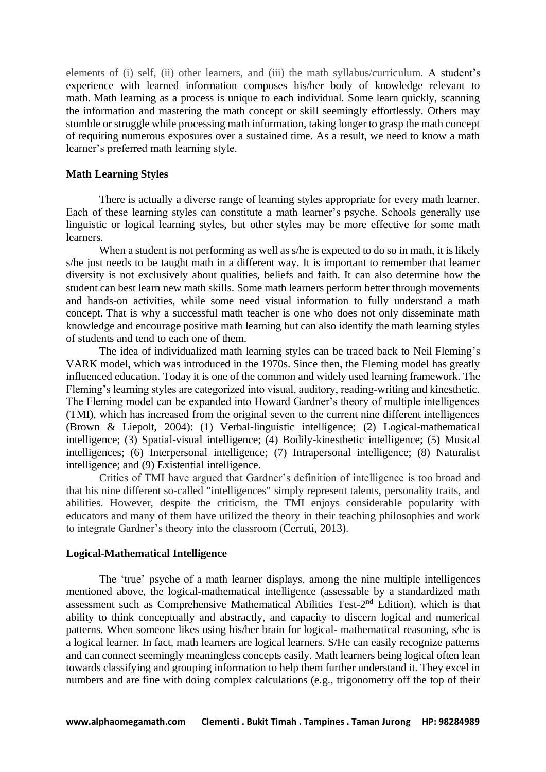elements of (i) self, (ii) other learners, and (iii) the math syllabus/curriculum. A student's experience with learned information composes his/her body of knowledge relevant to math. Math learning as a process is unique to each individual. Some learn quickly, scanning the information and mastering the math concept or skill seemingly effortlessly. Others may stumble or struggle while processing math information, taking longer to grasp the math concept of requiring numerous exposures over a sustained time. As a result, we need to know a math learner's preferred math learning style.

#### **Math Learning Styles**

There is actually a diverse range of learning styles appropriate for every math learner. Each of these learning styles can constitute a math learner's psyche. Schools generally use linguistic or logical learning styles, but other styles may be more effective for some math learners.

When a student is not performing as well as s/he is expected to do so in math, it is likely s/he just needs to be taught math in a different way. It is important to remember that learner diversity is not exclusively about qualities, beliefs and faith. It can also determine how the student can best learn new math skills. Some math learners perform better through movements and hands-on activities, while some need visual information to fully understand a math concept. That is why a successful math teacher is one who does not only disseminate math knowledge and encourage positive math learning but can also identify the math learning styles of students and tend to each one of them.

The idea of individualized math learning styles can be traced back to Neil Fleming's VARK model, which was introduced in the 1970s. Since then, the Fleming model has greatly influenced education. Today it is one of the common and widely used learning framework. The Fleming's learning styles are categorized into visual, auditory, reading-writing and kinesthetic. The Fleming model can be expanded into Howard Gardner's theory of multiple intelligences (TMI), which has increased from the original seven to the current nine different intelligences (Brown & Liepolt, 2004): (1) Verbal-linguistic intelligence; (2) Logical-mathematical intelligence; (3) Spatial-visual intelligence; (4) Bodily-kinesthetic intelligence; (5) Musical intelligences; (6) Interpersonal intelligence; (7) Intrapersonal intelligence; (8) Naturalist intelligence; and (9) Existential intelligence.

Critics of TMI have argued that Gardner's definition of intelligence is too broad and that his nine different so-called "intelligences" simply represent talents, personality traits, and abilities. However, despite the criticism, the TMI enjoys considerable popularity with educators and many of them have utilized the theory in their teaching philosophies and work to integrate Gardner's theory into the classroom (Cerruti, 2013).

### **Logical-Mathematical Intelligence**

The 'true' psyche of a math learner displays, among the nine multiple intelligences mentioned above, the logical-mathematical intelligence (assessable by a standardized math assessment such as Comprehensive Mathematical Abilities Test-2<sup>nd</sup> Edition), which is that ability to think conceptually and abstractly, and capacity to discern logical and numerical patterns. When someone likes using his/her brain for logical- mathematical reasoning, s/he is a logical learner. In fact, math learners are logical learners. S/He can easily recognize patterns and can connect seemingly meaningless concepts easily. Math learners being logical often lean towards classifying and grouping information to help them further understand it. They excel in numbers and are fine with doing complex calculations (e.g., trigonometry off the top of their